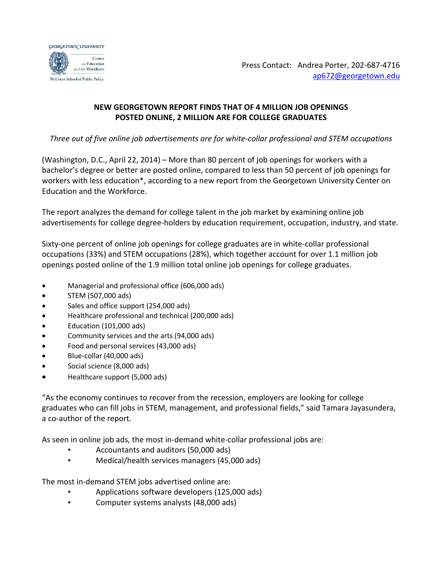

Press Contact: Andrea Porter, 202-687-4716 [ap672@georgetown.edu](mailto:ap672@georgetown.edu)

## **NEW GEORGETOWN REPORT FINDS THAT OF 4 MILLION JOB OPENINGS POSTED ONLINE, 2 MILLION ARE FOR COLLEGE GRADUATES**

*Three out of five online job advertisements are for white-collar professional and STEM occupations*

(Washington, D.C., April 22, 2014) – More than 80 percent of job openings for workers with a bachelor's degree or better are posted online, compared to less than 50 percent of job openings for workers with less education\*, according to a new report from the Georgetown University Center on Education and the Workforce.

The report analyzes the demand for college talent in the job market by examining online job advertisements for college degree-holders by education requirement, occupation, industry, and state.

Sixty-one percent of online job openings for college graduates are in white-collar professional occupations (33%) and STEM occupations (28%), which together account for over 1.1 million job openings posted online of the 1.9 million total online job openings for college graduates.

- Managerial and professional office (606,000 ads)
- STEM (507,000 ads)
- Sales and office support (254,000 ads)
- Healthcare professional and technical (200,000 ads)
- Education (101,000 ads)
- Community services and the arts (94,000 ads)
- Food and personal services (43,000 ads)
- Blue-collar (40,000 ads)
- Social science (8,000 ads)
- Healthcare support (5,000 ads)

"As the economy continues to recover from the recession, employers are looking for college graduates who can fill jobs in STEM, management, and professional fields," said Tamara Jayasundera, a co-author of the report.

As seen in online job ads, the most in-demand white-collar professional jobs are:

- Accountants and auditors (50,000 ads)
- Medical/health services managers (45,000 ads)

The most in-demand STEM jobs advertised online are:

- Applications software developers (125,000 ads)
- Computer systems analysts (48,000 ads)